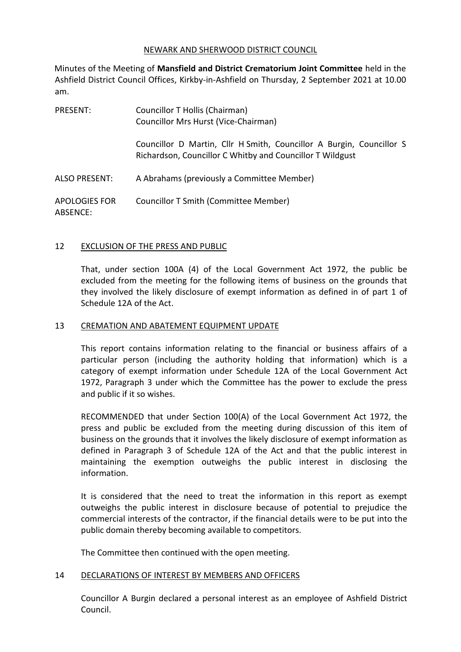## NEWARK AND SHERWOOD DISTRICT COUNCIL

Minutes of the Meeting of **Mansfield and District Crematorium Joint Committee** held in the Ashfield District Council Offices, Kirkby-in-Ashfield on Thursday, 2 September 2021 at 10.00 am.

| <b>PRESENT:</b>                  | Councillor T Hollis (Chairman)<br>Councillor Mrs Hurst (Vice-Chairman)                                                            |
|----------------------------------|-----------------------------------------------------------------------------------------------------------------------------------|
|                                  | Councillor D Martin, Cllr H Smith, Councillor A Burgin, Councillor S<br>Richardson, Councillor C Whitby and Councillor T Wildgust |
| <b>ALSO PRESENT:</b>             | A Abrahams (previously a Committee Member)                                                                                        |
| <b>APOLOGIES FOR</b><br>ABSENCE: | <b>Councillor T Smith (Committee Member)</b>                                                                                      |

## 12 EXCLUSION OF THE PRESS AND PUBLIC

That, under section 100A (4) of the Local Government Act 1972, the public be excluded from the meeting for the following items of business on the grounds that they involved the likely disclosure of exempt information as defined in of part 1 of Schedule 12A of the Act.

### 13 CREMATION AND ABATEMENT EQUIPMENT UPDATE

This report contains information relating to the financial or business affairs of a particular person (including the authority holding that information) which is a category of exempt information under Schedule 12A of the Local Government Act 1972, Paragraph 3 under which the Committee has the power to exclude the press and public if it so wishes.

RECOMMENDED that under Section 100(A) of the Local Government Act 1972, the press and public be excluded from the meeting during discussion of this item of business on the grounds that it involves the likely disclosure of exempt information as defined in Paragraph 3 of Schedule 12A of the Act and that the public interest in maintaining the exemption outweighs the public interest in disclosing the information.

It is considered that the need to treat the information in this report as exempt outweighs the public interest in disclosure because of potential to prejudice the commercial interests of the contractor, if the financial details were to be put into the public domain thereby becoming available to competitors.

The Committee then continued with the open meeting.

## 14 DECLARATIONS OF INTEREST BY MEMBERS AND OFFICERS

Councillor A Burgin declared a personal interest as an employee of Ashfield District Council.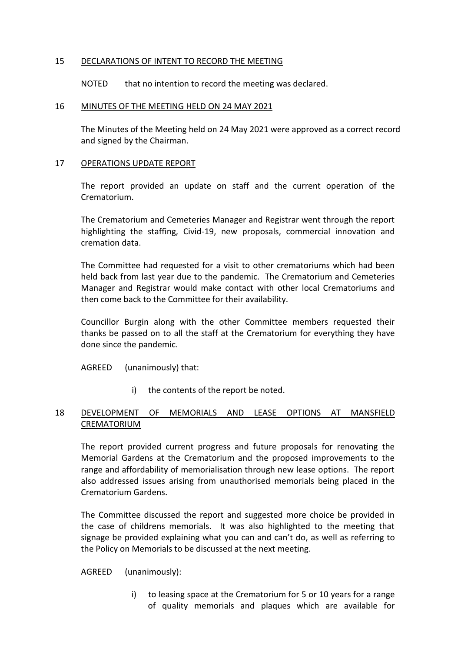## 15 DECLARATIONS OF INTENT TO RECORD THE MEETING

NOTED that no intention to record the meeting was declared.

#### 16 MINUTES OF THE MEETING HELD ON 24 MAY 2021

The Minutes of the Meeting held on 24 May 2021 were approved as a correct record and signed by the Chairman.

#### 17 OPERATIONS UPDATE REPORT

The report provided an update on staff and the current operation of the Crematorium.

The Crematorium and Cemeteries Manager and Registrar went through the report highlighting the staffing, Civid-19, new proposals, commercial innovation and cremation data.

The Committee had requested for a visit to other crematoriums which had been held back from last year due to the pandemic. The Crematorium and Cemeteries Manager and Registrar would make contact with other local Crematoriums and then come back to the Committee for their availability.

Councillor Burgin along with the other Committee members requested their thanks be passed on to all the staff at the Crematorium for everything they have done since the pandemic.

AGREED (unanimously) that:

i) the contents of the report be noted.

# 18 DEVELOPMENT OF MEMORIALS AND LEASE OPTIONS AT MANSFIELD CREMATORIUM

The report provided current progress and future proposals for renovating the Memorial Gardens at the Crematorium and the proposed improvements to the range and affordability of memorialisation through new lease options. The report also addressed issues arising from unauthorised memorials being placed in the Crematorium Gardens.

The Committee discussed the report and suggested more choice be provided in the case of childrens memorials. It was also highlighted to the meeting that signage be provided explaining what you can and can't do, as well as referring to the Policy on Memorials to be discussed at the next meeting.

AGREED (unanimously):

i) to leasing space at the Crematorium for 5 or 10 years for a range of quality memorials and plaques which are available for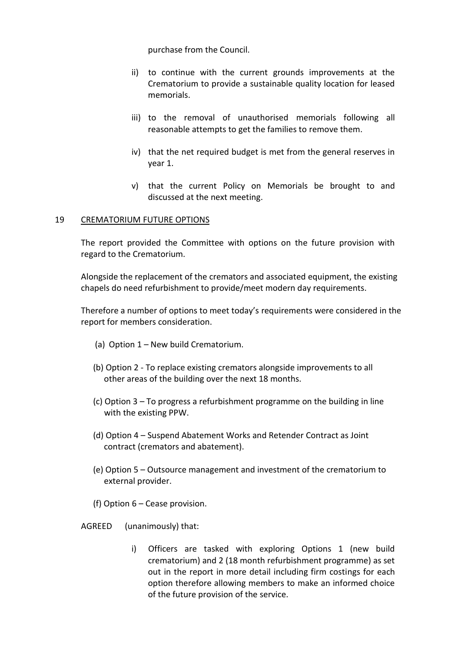purchase from the Council.

- ii) to continue with the current grounds improvements at the Crematorium to provide a sustainable quality location for leased memorials.
- iii) to the removal of unauthorised memorials following all reasonable attempts to get the families to remove them.
- iv) that the net required budget is met from the general reserves in year 1.
- v) that the current Policy on Memorials be brought to and discussed at the next meeting.

## 19 CREMATORIUM FUTURE OPTIONS

The report provided the Committee with options on the future provision with regard to the Crematorium.

Alongside the replacement of the cremators and associated equipment, the existing chapels do need refurbishment to provide/meet modern day requirements.

Therefore a number of options to meet today's requirements were considered in the report for members consideration.

- (a) Option 1 New build Crematorium.
- (b) Option 2 To replace existing cremators alongside improvements to all other areas of the building over the next 18 months.
- (c) Option 3 To progress a refurbishment programme on the building in line with the existing PPW.
- (d) Option 4 Suspend Abatement Works and Retender Contract as Joint contract (cremators and abatement).
- (e) Option 5 Outsource management and investment of the crematorium to external provider.
- (f) Option 6 Cease provision.

AGREED (unanimously) that:

i) Officers are tasked with exploring Options 1 (new build crematorium) and 2 (18 month refurbishment programme) as set out in the report in more detail including firm costings for each option therefore allowing members to make an informed choice of the future provision of the service.